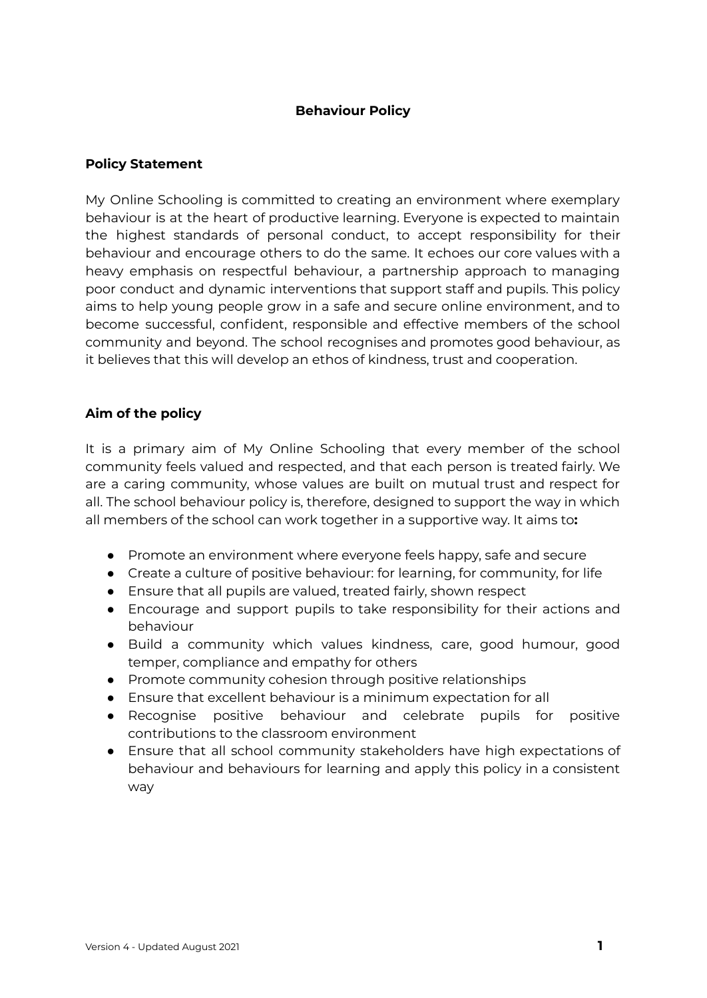### **Behaviour Policy**

#### **Policy Statement**

My Online Schooling is committed to creating an environment where exemplary behaviour is at the heart of productive learning. Everyone is expected to maintain the highest standards of personal conduct, to accept responsibility for their behaviour and encourage others to do the same. It echoes our core values with a heavy emphasis on respectful behaviour, a partnership approach to managing poor conduct and dynamic interventions that support staff and pupils. This policy aims to help young people grow in a safe and secure online environment, and to become successful, confident, responsible and effective members of the school community and beyond. The school recognises and promotes good behaviour, as it believes that this will develop an ethos of kindness, trust and cooperation.

#### **Aim of the policy**

It is a primary aim of My Online Schooling that every member of the school community feels valued and respected, and that each person is treated fairly. We are a caring community, whose values are built on mutual trust and respect for all. The school behaviour policy is, therefore, designed to support the way in which all members of the school can work together in a supportive way. It aims to**:**

- Promote an environment where everyone feels happy, safe and secure
- Create a culture of positive behaviour: for learning, for community, for life
- Ensure that all pupils are valued, treated fairly, shown respect
- Encourage and support pupils to take responsibility for their actions and behaviour
- Build a community which values kindness, care, good humour, good temper, compliance and empathy for others
- Promote community cohesion through positive relationships
- Ensure that excellent behaviour is a minimum expectation for all
- Recognise positive behaviour and celebrate pupils for positive contributions to the classroom environment
- Ensure that all school community stakeholders have high expectations of behaviour and behaviours for learning and apply this policy in a consistent way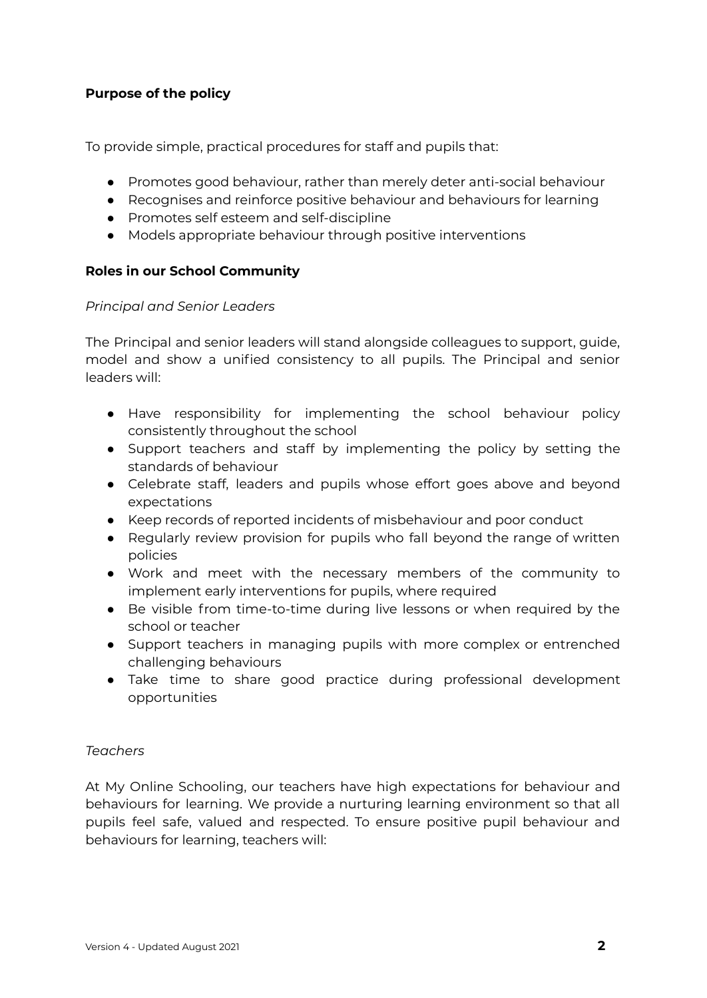# **Purpose of the policy**

To provide simple, practical procedures for staff and pupils that:

- Promotes good behaviour, rather than merely deter anti-social behaviour
- Recognises and reinforce positive behaviour and behaviours for learning
- Promotes self esteem and self-discipline
- Models appropriate behaviour through positive interventions

# **Roles in our School Community**

#### *Principal and Senior Leaders*

The Principal and senior leaders will stand alongside colleagues to support, guide, model and show a unified consistency to all pupils. The Principal and senior leaders will:

- Have responsibility for implementing the school behaviour policy consistently throughout the school
- Support teachers and staff by implementing the policy by setting the standards of behaviour
- Celebrate staff, leaders and pupils whose effort goes above and beyond expectations
- Keep records of reported incidents of misbehaviour and poor conduct
- Regularly review provision for pupils who fall beyond the range of written policies
- Work and meet with the necessary members of the community to implement early interventions for pupils, where required
- Be visible from time-to-time during live lessons or when required by the school or teacher
- Support teachers in managing pupils with more complex or entrenched challenging behaviours
- Take time to share good practice during professional development opportunities

# *Teachers*

At My Online Schooling, our teachers have high expectations for behaviour and behaviours for learning. We provide a nurturing learning environment so that all pupils feel safe, valued and respected. To ensure positive pupil behaviour and behaviours for learning, teachers will: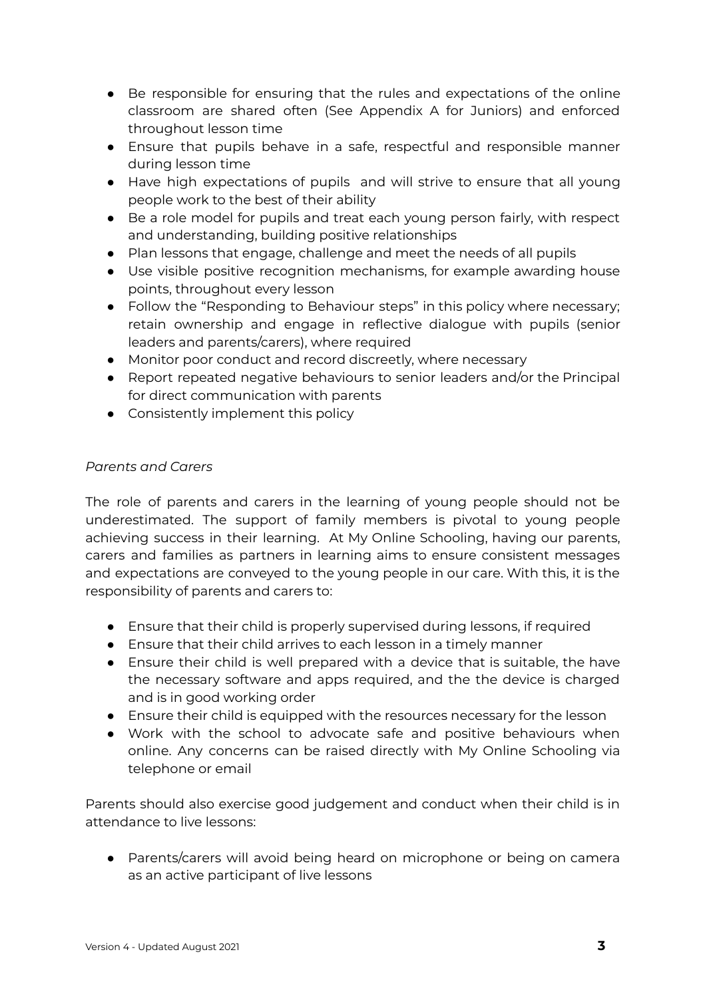- Be responsible for ensuring that the rules and expectations of the online classroom are shared often (See Appendix A for Juniors) and enforced throughout lesson time
- Ensure that pupils behave in a safe, respectful and responsible manner during lesson time
- Have high expectations of pupils and will strive to ensure that all young people work to the best of their ability
- Be a role model for pupils and treat each young person fairly, with respect and understanding, building positive relationships
- Plan lessons that engage, challenge and meet the needs of all pupils
- Use visible positive recognition mechanisms, for example awarding house points, throughout every lesson
- Follow the "Responding to Behaviour steps" in this policy where necessary; retain ownership and engage in reflective dialogue with pupils (senior leaders and parents/carers), where required
- Monitor poor conduct and record discreetly, where necessary
- Report repeated negative behaviours to senior leaders and/or the Principal for direct communication with parents
- Consistently implement this policy

# *Parents and Carers*

The role of parents and carers in the learning of young people should not be underestimated. The support of family members is pivotal to young people achieving success in their learning. At My Online Schooling, having our parents, carers and families as partners in learning aims to ensure consistent messages and expectations are conveyed to the young people in our care. With this, it is the responsibility of parents and carers to:

- Ensure that their child is properly supervised during lessons, if required
- Ensure that their child arrives to each lesson in a timely manner
- Ensure their child is well prepared with a device that is suitable, the have the necessary software and apps required, and the the device is charged and is in good working order
- Ensure their child is equipped with the resources necessary for the lesson
- Work with the school to advocate safe and positive behaviours when online. Any concerns can be raised directly with My Online Schooling via telephone or email

Parents should also exercise good judgement and conduct when their child is in attendance to live lessons:

● Parents/carers will avoid being heard on microphone or being on camera as an active participant of live lessons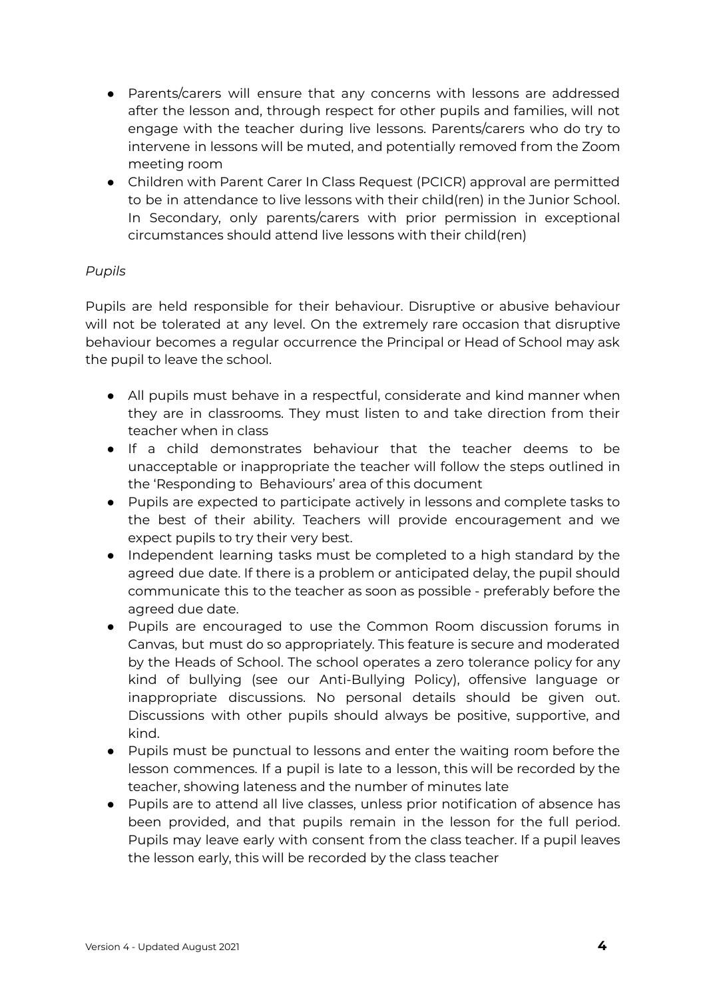- Parents/carers will ensure that any concerns with lessons are addressed after the lesson and, through respect for other pupils and families, will not engage with the teacher during live lessons. Parents/carers who do try to intervene in lessons will be muted, and potentially removed from the Zoom meeting room
- Children with Parent Carer In Class Request (PCICR) approval are permitted to be in attendance to live lessons with their child(ren) in the Junior School. In Secondary, only parents/carers with prior permission in exceptional circumstances should attend live lessons with their child(ren)

# *Pupils*

Pupils are held responsible for their behaviour. Disruptive or abusive behaviour will not be tolerated at any level. On the extremely rare occasion that disruptive behaviour becomes a regular occurrence the Principal or Head of School may ask the pupil to leave the school.

- All pupils must behave in a respectful, considerate and kind manner when they are in classrooms. They must listen to and take direction from their teacher when in class
- If a child demonstrates behaviour that the teacher deems to be unacceptable or inappropriate the teacher will follow the steps outlined in the 'Responding to Behaviours' area of this document
- Pupils are expected to participate actively in lessons and complete tasks to the best of their ability. Teachers will provide encouragement and we expect pupils to try their very best.
- Independent learning tasks must be completed to a high standard by the agreed due date. If there is a problem or anticipated delay, the pupil should communicate this to the teacher as soon as possible - preferably before the agreed due date.
- Pupils are encouraged to use the Common Room discussion forums in Canvas, but must do so appropriately. This feature is secure and moderated by the Heads of School. The school operates a zero tolerance policy for any kind of bullying (see our Anti-Bullying Policy), offensive language or inappropriate discussions. No personal details should be given out. Discussions with other pupils should always be positive, supportive, and kind.
- Pupils must be punctual to lessons and enter the waiting room before the lesson commences. If a pupil is late to a lesson, this will be recorded by the teacher, showing lateness and the number of minutes late
- Pupils are to attend all live classes, unless prior notification of absence has been provided, and that pupils remain in the lesson for the full period. Pupils may leave early with consent from the class teacher. If a pupil leaves the lesson early, this will be recorded by the class teacher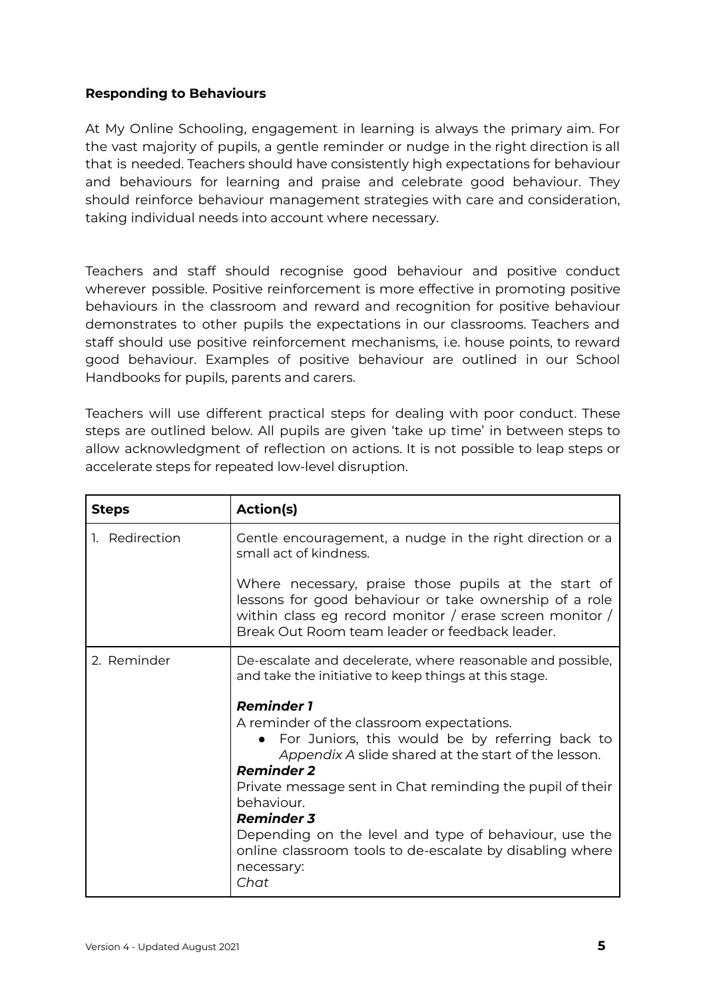### **Responding to Behaviours**

At My Online Schooling, engagement in learning is always the primary aim. For the vast majority of pupils, a gentle reminder or nudge in the right direction is all that is needed. Teachers should have consistently high expectations for behaviour and behaviours for learning and praise and celebrate good behaviour. They should reinforce behaviour management strategies with care and consideration, taking individual needs into account where necessary.

Teachers and staff should recognise good behaviour and positive conduct wherever possible. Positive reinforcement is more effective in promoting positive behaviours in the classroom and reward and recognition for positive behaviour demonstrates to other pupils the expectations in our classrooms. Teachers and staff should use positive reinforcement mechanisms, i.e. house points, to reward good behaviour. Examples of positive behaviour are outlined in our School Handbooks for pupils, parents and carers.

Teachers will use different practical steps for dealing with poor conduct. These steps are outlined below. All pupils are given 'take up time' in between steps to allow acknowledgment of reflection on actions. It is not possible to leap steps or accelerate steps for repeated low-level disruption.

| <b>Steps</b>   | Action(s)                                                                                                                                                                                                                                                                                                                                                                                                                                  |
|----------------|--------------------------------------------------------------------------------------------------------------------------------------------------------------------------------------------------------------------------------------------------------------------------------------------------------------------------------------------------------------------------------------------------------------------------------------------|
| 1. Redirection | Gentle encouragement, a nudge in the right direction or a<br>small act of kindness.                                                                                                                                                                                                                                                                                                                                                        |
|                | Where necessary, praise those pupils at the start of<br>lessons for good behaviour or take ownership of a role<br>within class eg record monitor / erase screen monitor /<br>Break Out Room team leader or feedback leader.                                                                                                                                                                                                                |
| 2. Reminder    | De-escalate and decelerate, where reasonable and possible,<br>and take the initiative to keep things at this stage.                                                                                                                                                                                                                                                                                                                        |
|                | <b>Reminder 1</b><br>A reminder of the classroom expectations.<br>• For Juniors, this would be by referring back to<br>Appendix A slide shared at the start of the lesson.<br><b>Reminder 2</b><br>Private message sent in Chat reminding the pupil of their<br>behaviour.<br><b>Reminder 3</b><br>Depending on the level and type of behaviour, use the<br>online classroom tools to de-escalate by disabling where<br>necessary:<br>Chat |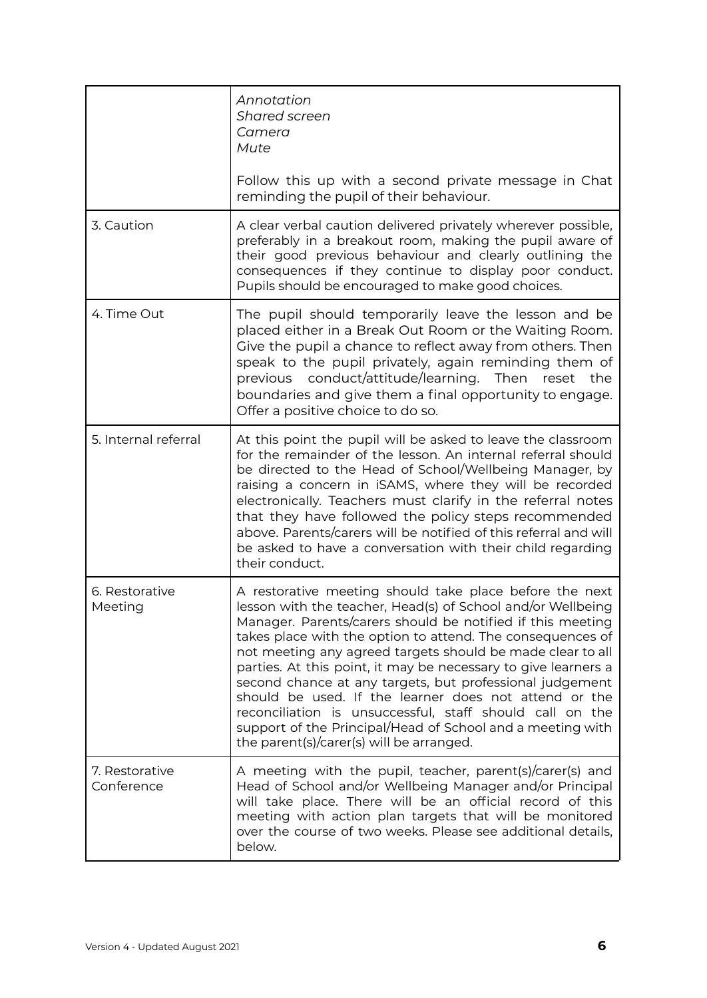|                              | Annotation<br>Shared screen<br>Camera<br>Mute                                                                                                                                                                                                                                                                                                                                                                                                                                                                                                                                                                                                                                 |
|------------------------------|-------------------------------------------------------------------------------------------------------------------------------------------------------------------------------------------------------------------------------------------------------------------------------------------------------------------------------------------------------------------------------------------------------------------------------------------------------------------------------------------------------------------------------------------------------------------------------------------------------------------------------------------------------------------------------|
|                              | Follow this up with a second private message in Chat<br>reminding the pupil of their behaviour.                                                                                                                                                                                                                                                                                                                                                                                                                                                                                                                                                                               |
| 3. Caution                   | A clear verbal caution delivered privately wherever possible,<br>preferably in a breakout room, making the pupil aware of<br>their good previous behaviour and clearly outlining the<br>consequences if they continue to display poor conduct.<br>Pupils should be encouraged to make good choices.                                                                                                                                                                                                                                                                                                                                                                           |
| 4. Time Out                  | The pupil should temporarily leave the lesson and be<br>placed either in a Break Out Room or the Waiting Room.<br>Give the pupil a chance to reflect away from others. Then<br>speak to the pupil privately, again reminding them of<br>previous conduct/attitude/learning. Then reset<br>the<br>boundaries and give them a final opportunity to engage.<br>Offer a positive choice to do so.                                                                                                                                                                                                                                                                                 |
| 5. Internal referral         | At this point the pupil will be asked to leave the classroom<br>for the remainder of the lesson. An internal referral should<br>be directed to the Head of School/Wellbeing Manager, by<br>raising a concern in iSAMS, where they will be recorded<br>electronically. Teachers must clarify in the referral notes<br>that they have followed the policy steps recommended<br>above. Parents/carers will be notified of this referral and will<br>be asked to have a conversation with their child regarding<br>their conduct.                                                                                                                                                 |
| 6. Restorative<br>Meeting    | A restorative meeting should take place before the next<br>lesson with the teacher, Head(s) of School and/or Wellbeing<br>Manager. Parents/carers should be notified if this meeting<br>takes place with the option to attend. The consequences of<br>not meeting any agreed targets should be made clear to all<br>parties. At this point, it may be necessary to give learners a<br>second chance at any targets, but professional judgement<br>should be used. If the learner does not attend or the<br>reconciliation is unsuccessful, staff should call on the<br>support of the Principal/Head of School and a meeting with<br>the parent(s)/carer(s) will be arranged. |
| 7. Restorative<br>Conference | A meeting with the pupil, teacher, parent(s)/carer(s) and<br>Head of School and/or Wellbeing Manager and/or Principal<br>will take place. There will be an official record of this<br>meeting with action plan targets that will be monitored<br>over the course of two weeks. Please see additional details,<br>below.                                                                                                                                                                                                                                                                                                                                                       |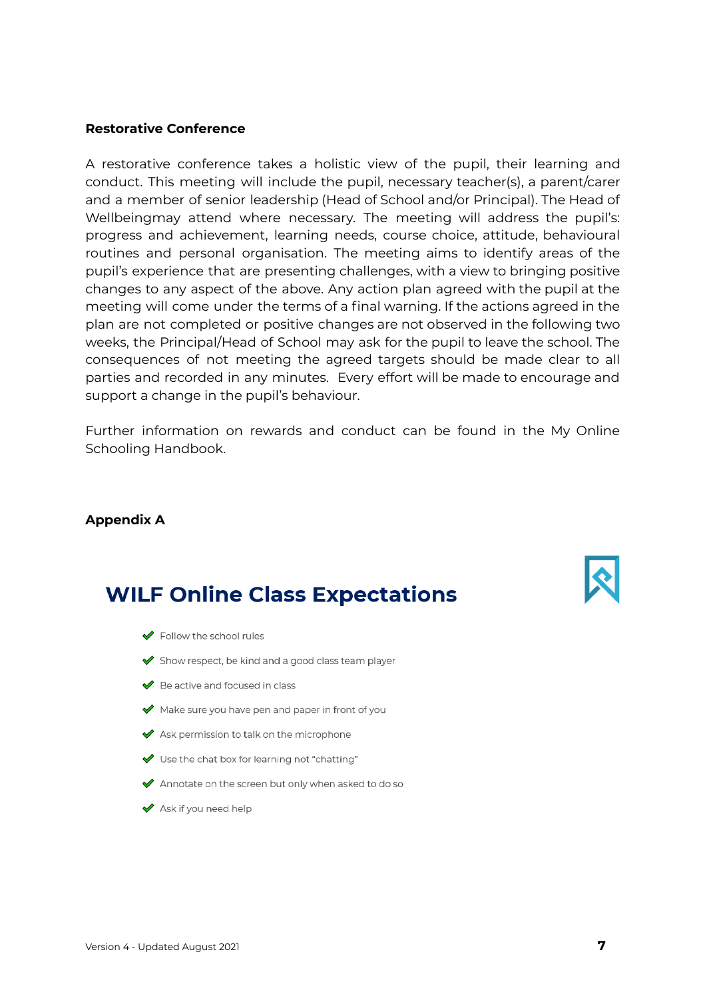#### **Restorative Conference**

A restorative conference takes a holistic view of the pupil, their learning and conduct. This meeting will include the pupil, necessary teacher(s), a parent/carer and a member of senior leadership (Head of School and/or Principal). The Head of Wellbeingmay attend where necessary. The meeting will address the pupil's: progress and achievement, learning needs, course choice, attitude, behavioural routines and personal organisation. The meeting aims to identify areas of the pupil's experience that are presenting challenges, with a view to bringing positive changes to any aspect of the above. Any action plan agreed with the pupil at the meeting will come under the terms of a final warning. If the actions agreed in the plan are not completed or positive changes are not observed in the following two weeks, the Principal/Head of School may ask for the pupil to leave the school. The consequences of not meeting the agreed targets should be made clear to all parties and recorded in any minutes. Every effort will be made to encourage and support a change in the pupil's behaviour.

Further information on rewards and conduct can be found in the My Online Schooling Handbook.

#### **Appendix A**

# **WILF Online Class Expectations**

- $\blacktriangleright$  Follow the school rules
- Show respect, be kind and a good class team player
- ◆ Be active and focused in class
- Make sure you have pen and paper in front of you
- ◆ Ask permission to talk on the microphone
- V Use the chat box for learning not "chatting"
- Annotate on the screen but only when asked to do so
- ◆ Ask if you need help